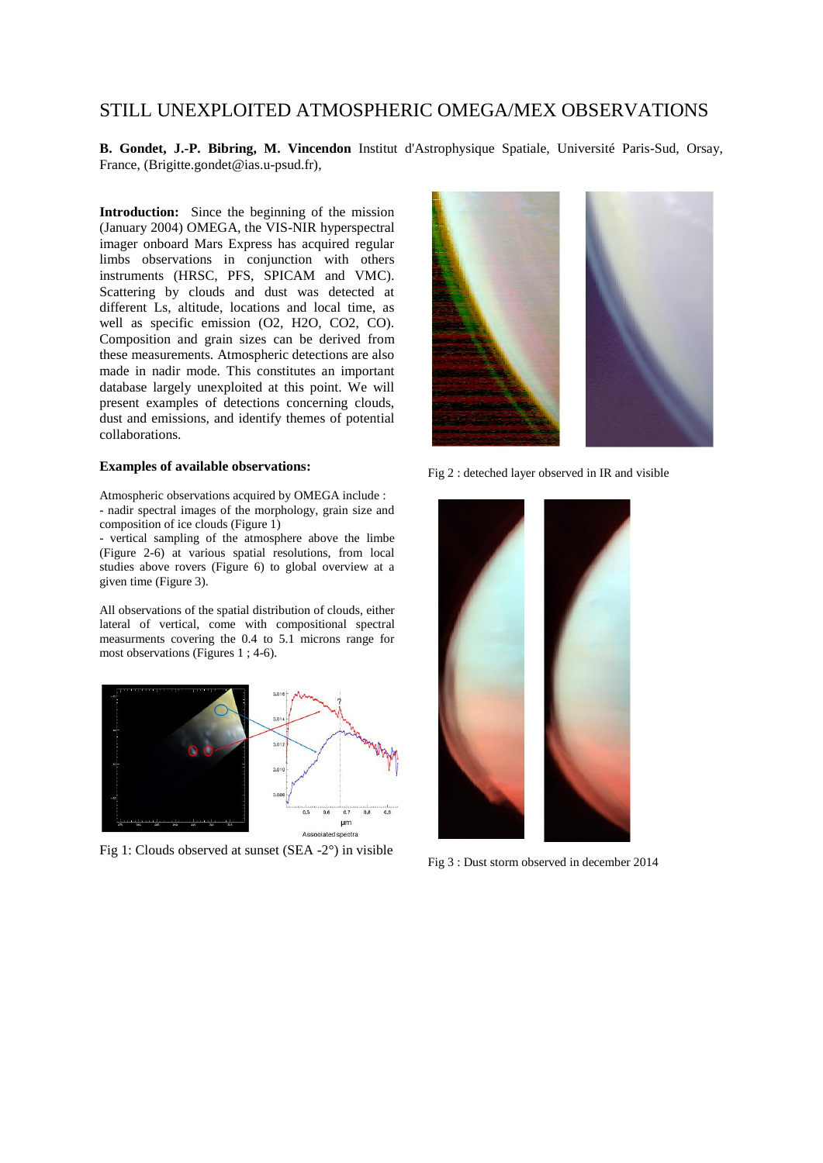## STILL UNEXPLOITED ATMOSPHERIC OMEGA/MEX OBSERVATIONS

**B. Gondet, J.-P. Bibring, M. Vincendon** Institut d'Astrophysique Spatiale, Université Paris-Sud, Orsay, France, (Brigitte.gondet@ias.u-psud.fr),

**Introduction:** Since the beginning of the mission (January 2004) OMEGA, the VIS-NIR hyperspectral imager onboard Mars Express has acquired regular limbs observations in conjunction with others instruments (HRSC, PFS, SPICAM and VMC). Scattering by clouds and dust was detected at different Ls, altitude, locations and local time, as well as specific emission (O2, H2O, CO2, CO). Composition and grain sizes can be derived from these measurements. Atmospheric detections are also made in nadir mode. This constitutes an important database largely unexploited at this point. We will present examples of detections concerning clouds, dust and emissions, and identify themes of potential collaborations.

## **Examples of available observations:**

Atmospheric observations acquired by OMEGA include : - nadir spectral images of the morphology, grain size and composition of ice clouds (Figure 1)

- vertical sampling of the atmosphere above the limbe (Figure 2-6) at various spatial resolutions, from local studies above rovers (Figure 6) to global overview at a given time (Figure 3).

All observations of the spatial distribution of clouds, either lateral of vertical, come with compositional spectral measurments covering the 0.4 to 5.1 microns range for most observations (Figures 1 ; 4-6).



Fig 1: Clouds observed at sunset (SEA -2°) in visible



Fig 2 : deteched layer observed in IR and visible



Fig 3 : Dust storm observed in december 2014